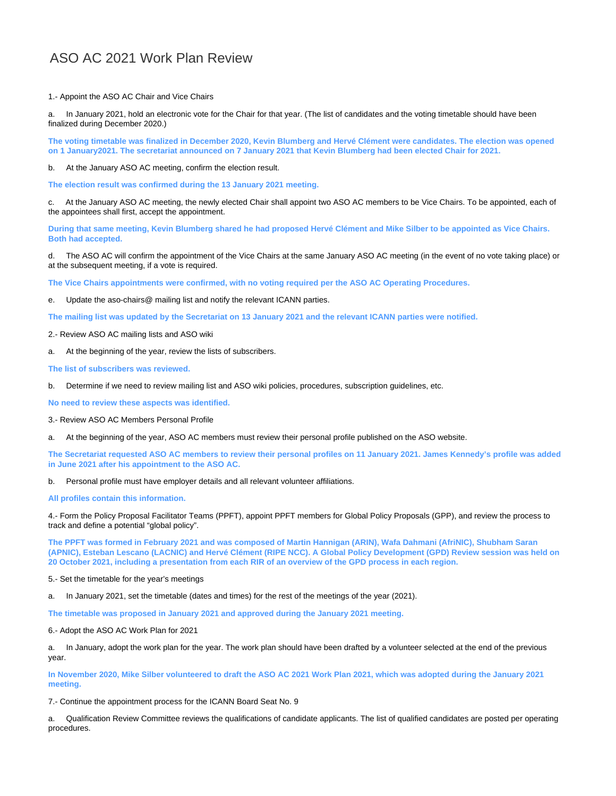## ASO AC 2021 Work Plan Review

1.- Appoint the ASO AC Chair and Vice Chairs

a. In January 2021, hold an electronic vote for the Chair for that year. (The list of candidates and the voting timetable should have been finalized during December 2020.)

**The voting timetable was finalized in December 2020, Kevin Blumberg and Hervé Clément were candidates. The election was opened on 1 January2021. The secretariat announced on 7 January 2021 that Kevin Blumberg had been elected Chair for 2021.**

b. At the January ASO AC meeting, confirm the election result.

**The election result was confirmed during the 13 January 2021 meeting.**

c. At the January ASO AC meeting, the newly elected Chair shall appoint two ASO AC members to be Vice Chairs. To be appointed, each of the appointees shall first, accept the appointment.

**During that same meeting, Kevin Blumberg shared he had proposed Hervé Clément and Mike Silber to be appointed as Vice Chairs. Both had accepted.** 

d. The ASO AC will confirm the appointment of the Vice Chairs at the same January ASO AC meeting (in the event of no vote taking place) or at the subsequent meeting, if a vote is required.

**The Vice Chairs appointments were confirmed, with no voting required per the ASO AC Operating Procedures.**

Update the aso-chairs@ mailing list and notify the relevant ICANN parties.

**The mailing list was updated by the Secretariat on 13 January 2021 and the relevant ICANN parties were notified.**

- 2.- Review ASO AC mailing lists and ASO wiki
- a. At the beginning of the year, review the lists of subscribers.

**The list of subscribers was reviewed.**

b. Determine if we need to review mailing list and ASO wiki policies, procedures, subscription guidelines, etc.

**No need to review these aspects was identified.**

3.- Review ASO AC Members Personal Profile

At the beginning of the year, ASO AC members must review their personal profile published on the ASO website.

**The Secretariat requested ASO AC members to review their personal profiles on 11 January 2021. James Kennedy's profile was added in June 2021 after his appointment to the ASO AC.**

b. Personal profile must have employer details and all relevant volunteer affiliations.

**All profiles contain this information.**

4.- Form the Policy Proposal Facilitator Teams (PPFT), appoint PPFT members for Global Policy Proposals (GPP), and review the process to track and define a potential "global policy".

**The PPFT was formed in February 2021 and was composed of Martin Hannigan (ARIN), Wafa Dahmani (AfriNIC), Shubham Saran (APNIC), Esteban Lescano (LACNIC) and Hervé Clément (RIPE NCC). A Global Policy Development (GPD) Review session was held on 20 October 2021, including a presentation from each RIR of an overview of the GPD process in each region.** 

5.- Set the timetable for the year's meetings

In January 2021, set the timetable (dates and times) for the rest of the meetings of the year (2021).

**The timetable was proposed in January 2021 and approved during the January 2021 meeting.**

6.- Adopt the ASO AC Work Plan for 2021

a. In January, adopt the work plan for the year. The work plan should have been drafted by a volunteer selected at the end of the previous year.

**In November 2020, Mike Silber volunteered to draft the ASO AC 2021 Work Plan 2021, which was adopted during the January 2021 meeting.**

7.- Continue the appointment process for the ICANN Board Seat No. 9

a. Qualification Review Committee reviews the qualifications of candidate applicants. The list of qualified candidates are posted per operating procedures.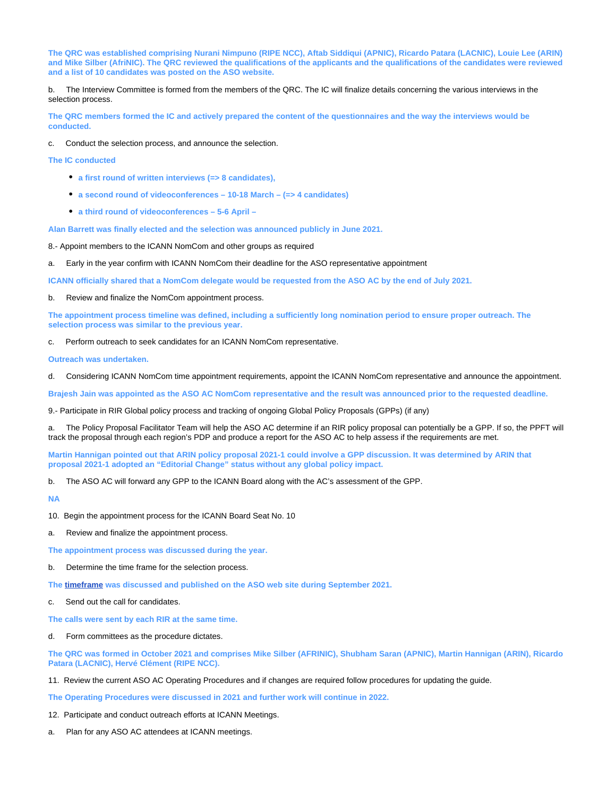**The QRC was established comprising Nurani Nimpuno (RIPE NCC), Aftab Siddiqui (APNIC), Ricardo Patara (LACNIC), Louie Lee (ARIN) and Mike Silber (AfriNIC). The QRC reviewed the qualifications of the applicants and the qualifications of the candidates were reviewed and a list of 10 candidates was posted on the ASO website.**

b. The Interview Committee is formed from the members of the QRC. The IC will finalize details concerning the various interviews in the selection process.

**The QRC members formed the IC and actively prepared the content of the questionnaires and the way the interviews would be conducted.** 

c. Conduct the selection process, and announce the selection.

**The IC conducted**

- **a first round of written interviews (=> 8 candidates),**
- **a second round of videoconferences 10-18 March (=> 4 candidates)**
- **a third round of videoconferences 5-6 April**

**Alan Barrett was finally elected and the selection was announced publicly in June 2021.** 

8.- Appoint members to the ICANN NomCom and other groups as required

a. Early in the year confirm with ICANN NomCom their deadline for the ASO representative appointment

**ICANN officially shared that a NomCom delegate would be requested from the ASO AC by the end of July 2021.**

b. Review and finalize the NomCom appointment process.

**The appointment process timeline was defined, including a sufficiently long nomination period to ensure proper outreach. The selection process was similar to the previous year.**

Perform outreach to seek candidates for an ICANN NomCom representative.

**Outreach was undertaken.** 

Considering ICANN NomCom time appointment requirements, appoint the ICANN NomCom representative and announce the appointment.

**Brajesh Jain was appointed as the ASO AC NomCom representative and the result was announced prior to the requested deadline.**

9.- Participate in RIR Global policy process and tracking of ongoing Global Policy Proposals (GPPs) (if any)

The Policy Proposal Facilitator Team will help the ASO AC determine if an RIR policy proposal can potentially be a GPP. If so, the PPFT will track the proposal through each region's PDP and produce a report for the ASO AC to help assess if the requirements are met.

**Martin Hannigan pointed out that ARIN policy proposal 2021-1 could involve a GPP discussion. It was determined by ARIN that proposal 2021-1 adopted an "Editorial Change" status without any global policy impact.**

b. The ASO AC will forward any GPP to the ICANN Board along with the AC's assessment of the GPP.

**NA**

- 10. Begin the appointment process for the ICANN Board Seat No. 10
- a. Review and finalize the appointment process.

**The appointment process was discussed during the year.**

Determine the time frame for the selection process.

**The [timeframe](https://aso.icann.org/aso-ac-calls-for-nominations-for-seat-10-on-the-icann-board-of-directors-2/) was discussed and published on the ASO web site during September 2021.**

Send out the call for candidates.

**The calls were sent by each RIR at the same time.**

d. Form committees as the procedure dictates.

**The QRC was formed in October 2021 and comprises Mike Silber (AFRINIC), Shubham Saran (APNIC), Martin Hannigan (ARIN), Ricardo Patara (LACNIC), Hervé Clément (RIPE NCC).** 

11. Review the current ASO AC Operating Procedures and if changes are required follow procedures for updating the guide.

**The Operating Procedures were discussed in 2021 and further work will continue in 2022.**

12. Participate and conduct outreach efforts at ICANN Meetings.

a. Plan for any ASO AC attendees at ICANN meetings.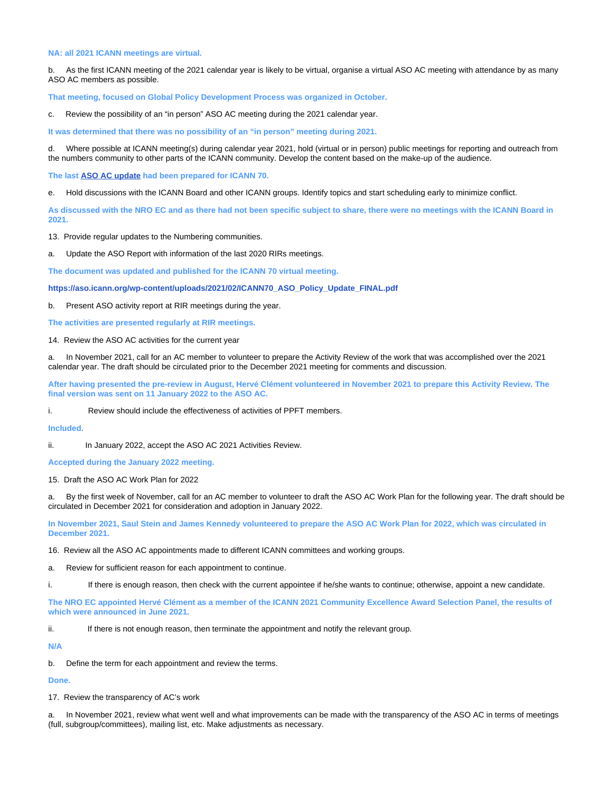## **NA: all 2021 ICANN meetings are virtual.**

b. As the first ICANN meeting of the 2021 calendar year is likely to be virtual, organise a virtual ASO AC meeting with attendance by as many ASO AC members as possible.

**That meeting, focused on Global Policy Development Process was organized in October.**

c. Review the possibility of an "in person" ASO AC meeting during the 2021 calendar year.

**It was determined that there was no possibility of an "in person" meeting during 2021.**

d. Where possible at ICANN meeting(s) during calendar year 2021, hold (virtual or in person) public meetings for reporting and outreach from the numbers community to other parts of the ICANN community. Develop the content based on the make-up of the audience.

**The last [ASO AC update](https://aso.icann.org/wp-content/uploads/2021/02/ICANN70_ASO_Policy_Update_FINAL.pdf) had been prepared for ICANN 70.**

e. Hold discussions with the ICANN Board and other ICANN groups. Identify topics and start scheduling early to minimize conflict.

**As discussed with the NRO EC and as there had not been specific subject to share, there were no meetings with the ICANN Board in 2021.** 

13. Provide regular updates to the Numbering communities.

a. Update the ASO Report with information of the last 2020 RIRs meetings.

**The document was updated and published for the ICANN 70 virtual meeting.**

**[https://aso.icann.org/wp-content/uploads/2021/02/ICANN70\\_ASO\\_Policy\\_Update\\_FINAL.pdf](https://aso.icann.org/wp-content/uploads/2021/02/ICANN70_ASO_Policy_Update_FINAL.pdf)**

b. Present ASO activity report at RIR meetings during the year.

**The activities are presented regularly at RIR meetings.**

14. Review the ASO AC activities for the current year

a. In November 2021, call for an AC member to volunteer to prepare the Activity Review of the work that was accomplished over the 2021 calendar year. The draft should be circulated prior to the December 2021 meeting for comments and discussion.

**After having presented the pre-review in August, Hervé Clément volunteered in November 2021 to prepare this Activity Review. The final version was sent on 11 January 2022 to the ASO AC.**

i. Review should include the effectiveness of activities of PPFT members.

**Included.**

ii. In January 2022, accept the ASO AC 2021 Activities Review.

**Accepted during the January 2022 meeting.**

15. Draft the ASO AC Work Plan for 2022

a. By the first week of November, call for an AC member to volunteer to draft the ASO AC Work Plan for the following year. The draft should be circulated in December 2021 for consideration and adoption in January 2022.

**In November 2021, Saul Stein and James Kennedy volunteered to prepare the ASO AC Work Plan for 2022, which was circulated in December 2021.**

16. Review all the ASO AC appointments made to different ICANN committees and working groups.

a. Review for sufficient reason for each appointment to continue.

i. If there is enough reason, then check with the current appointee if he/she wants to continue; otherwise, appoint a new candidate.

**The NRO EC appointed Hervé Clément as a member of the ICANN 2021 Community Excellence Award Selection Panel, the results of which were announced in June 2021.**

ii. If there is not enough reason, then terminate the appointment and notify the relevant group.

**N/A**

b. Define the term for each appointment and review the terms.

**Done.**

17. Review the transparency of AC's work

a. In November 2021, review what went well and what improvements can be made with the transparency of the ASO AC in terms of meetings (full, subgroup/committees), mailing list, etc. Make adjustments as necessary.